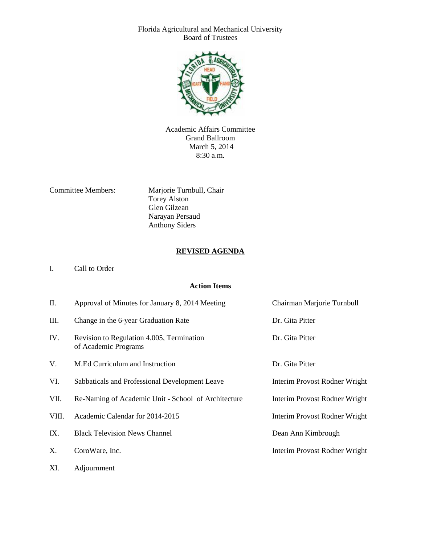Florida Agricultural and Mechanical University Board of Trustees



Academic Affairs Committee Grand Ballroom March 5, 2014 8:30 a.m.

Committee Members: Marjorie Turnbull, Chair Torey Alston Glen Gilzean Narayan Persaud Anthony Siders

#### **REVISED AGENDA**

#### I. Call to Order

#### **Action Items**

| II.   | Approval of Minutes for January 8, 2014 Meeting                   | Chairman Marjorie Turnbull    |
|-------|-------------------------------------------------------------------|-------------------------------|
| III.  | Change in the 6-year Graduation Rate                              | Dr. Gita Pitter               |
| IV.   | Revision to Regulation 4.005, Termination<br>of Academic Programs | Dr. Gita Pitter               |
| V.    | M.Ed Curriculum and Instruction                                   | Dr. Gita Pitter               |
| VI.   | Sabbaticals and Professional Development Leave                    | Interim Provost Rodner Wright |
| VII.  | Re-Naming of Academic Unit - School of Architecture               | Interim Provost Rodner Wright |
| VIII. | Academic Calendar for 2014-2015                                   | Interim Provost Rodner Wright |
| IX.   | <b>Black Television News Channel</b>                              | Dean Ann Kimbrough            |
| X.    | CoroWare, Inc.                                                    | Interim Provost Rodner Wright |
| XI.   | Adjournment                                                       |                               |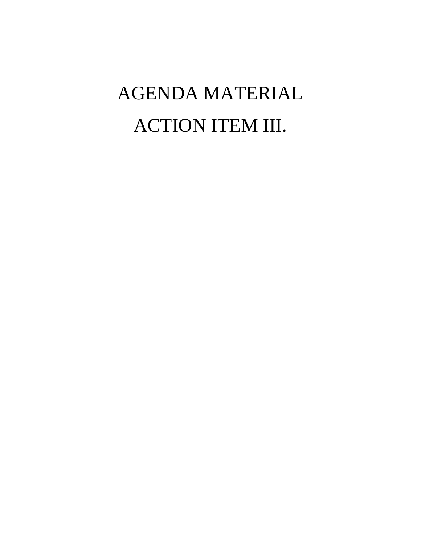# AGENDA MATERIAL ACTION ITEM III.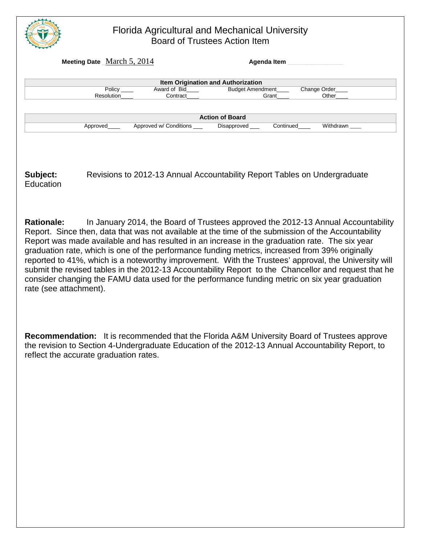

#### Florida Agricultural and Mechanical University Board of Trustees Action Item

|            | Meeting Date $_M$ March 5, 2014 |                                    |           |              |
|------------|---------------------------------|------------------------------------|-----------|--------------|
|            |                                 | Item Origination and Authorization |           |              |
| Policy     | Award of Bid                    | <b>Budget Amendment</b>            |           | Change Order |
| Resolution | Contract                        | Grant                              |           | Other        |
|            |                                 | <b>Action of Board</b>             |           |              |
| Approved   | Approved w/ Conditions          | Disapproved __                     | Continued | Withdrawn    |
|            |                                 |                                    |           |              |

**Subject:** Revisions to 2012-13 Annual Accountability Report Tables on Undergraduate **Education** 

**Rationale:** In January 2014, the Board of Trustees approved the 2012-13 Annual Accountability Report. Since then, data that was not available at the time of the submission of the Accountability Report was made available and has resulted in an increase in the graduation rate. The six year graduation rate, which is one of the performance funding metrics, increased from 39% originally reported to 41%, which is a noteworthy improvement. With the Trustees' approval, the University will submit the revised tables in the 2012-13 Accountability Report to the Chancellor and request that he consider changing the FAMU data used for the performance funding metric on six year graduation rate (see attachment).

**Recommendation:** It is recommended that the Florida A&M University Board of Trustees approve the revision to Section 4-Undergraduate Education of the 2012-13 Annual Accountability Report, to reflect the accurate graduation rates.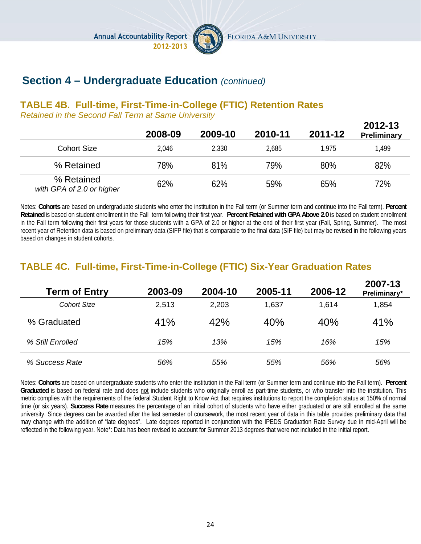Annual Accountability Report<br>2012-2013



FLORIDA A&M UNIVERSITY

## **Section 4 – Undergraduate Education** *(continued)*

#### **TABLE 4B. Full-time, First-Time-in-College (FTIC) Retention Rates**

*Retained in the Second Fall Term at Same University*

|                                         | 2008-09 | 2009-10 | 2010-11 | 2011-12 | 2012-13<br><b>Preliminary</b> |
|-----------------------------------------|---------|---------|---------|---------|-------------------------------|
| <b>Cohort Size</b>                      | 2,046   | 2,330   | 2,685   | 1.975   | 1,499                         |
| % Retained                              | 78%     | 81%     | 79%     | 80%     | 82%                           |
| % Retained<br>with GPA of 2.0 or higher | 62%     | 62%     | 59%     | 65%     | 72%                           |

Notes: **Cohorts** are based on undergraduate students who enter the institution in the Fall term (or Summer term and continue into the Fall term). **Percent Retained** is based on student enrollment in the Fall term following their first year. **Percent Retained with GPA Above 2.0** is based on student enrollment in the Fall term following their first years for those students with a GPA of 2.0 or higher at the end of their first year (Fall, Spring, Summer). The most recent year of Retention data is based on preliminary data (SIFP file) that is comparable to the final data (SIF file) but may be revised in the following years based on changes in student cohorts.

### **TABLE 4C. Full-time, First-Time-in-College (FTIC) Six-Year Graduation Rates**

| <b>Term of Entry</b> | 2003-09 | 2004-10 | 2005-11 | 2006-12 | 2007-13<br>Preliminary* |
|----------------------|---------|---------|---------|---------|-------------------------|
| <b>Cohort Size</b>   | 2,513   | 2,203   | 1,637   | 1,614   | 1,854                   |
| % Graduated          | 41%     | 42%     | 40%     | 40%     | 41%                     |
| % Still Enrolled     | 15%     | 13%     | 15%     | 16%     | 15%                     |
| % Success Rate       | 56%     | 55%     | 55%     | 56%     | 56%                     |

Notes: **Cohorts** are based on undergraduate students who enter the institution in the Fall term (or Summer term and continue into the Fall term). **Percent Graduated** is based on federal rate and does not include students who originally enroll as part-time students, or who transfer into the institution. This metric complies with the requirements of the federal Student Right to Know Act that requires institutions to report the completion status at 150% of normal time (or six years). **Success Rate** measures the percentage of an initial cohort of students who have either graduated or are still enrolled at the same university. Since degrees can be awarded after the last semester of coursework, the most recent year of data in this table provides preliminary data that may change with the addition of "late degrees". Late degrees reported in conjunction with the IPEDS Graduation Rate Survey due in mid-April will be reflected in the following year. Note\*: Data has been revised to account for Summer 2013 degrees that were not included in the initial report.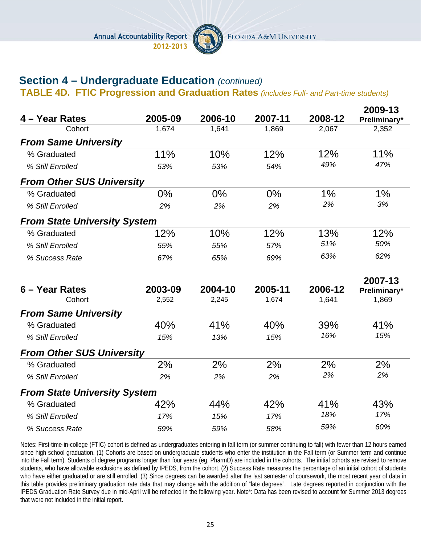

## **Section 4 – Undergraduate Education** *(continued)*

**TABLE 4D. FTIC Progression and Graduation Rates** *(includes Full- and Part-time students)*

|                                     |         |         |         |         | 2009-13      |
|-------------------------------------|---------|---------|---------|---------|--------------|
| 4 – Year Rates                      | 2005-09 | 2006-10 | 2007-11 | 2008-12 | Preliminary* |
| Cohort                              | 1,674   | 1,641   | 1,869   | 2,067   | 2,352        |
| <b>From Same University</b>         |         |         |         |         |              |
| % Graduated                         | 11%     | 10%     | 12%     | 12%     | 11%          |
| % Still Enrolled                    | 53%     | 53%     | 54%     | 49%     | 47%          |
| <b>From Other SUS University</b>    |         |         |         |         |              |
| % Graduated                         | 0%      | 0%      | 0%      | 1%      | 1%           |
| % Still Enrolled                    | 2%      | 2%      | 2%      | 2%      | 3%           |
| <b>From State University System</b> |         |         |         |         |              |
| % Graduated                         | 12%     | 10%     | 12%     | 13%     | 12%          |
| % Still Enrolled                    | 55%     | 55%     | 57%     | 51%     | 50%          |
| % Success Rate                      | 67%     | 65%     | 69%     | 63%     | 62%          |
|                                     |         |         |         |         | 2007-13      |
| 6 - Year Rates                      | 2003-09 | 2004-10 | 2005-11 | 2006-12 | Preliminary* |
| Cohort                              | 2,552   | 2,245   | 1,674   | 1,641   | 1,869        |
| <b>From Same University</b>         |         |         |         |         |              |
| % Graduated                         | 40%     | 41%     | 40%     | 39%     | 41%          |
| % Still Enrolled                    | 15%     | 13%     | 15%     | 16%     | 15%          |
| <b>From Other SUS University</b>    |         |         |         |         |              |
| % Graduated                         | 2%      | 2%      | 2%      | 2%      | 2%           |
| % Still Enrolled                    | 2%      | 2%      | 2%      | 2%      | 2%           |
| <b>From State University System</b> |         |         |         |         |              |
| % Graduated                         | 42%     | 44%     | 42%     | 41%     | 43%          |
|                                     |         |         |         |         |              |
| % Still Enrolled                    | 17%     | 15%     | 17%     | 18%     | 17%          |

Notes: First-time-in-college (FTIC) cohort is defined as undergraduates entering in fall term (or summer continuing to fall) with fewer than 12 hours earned since high school graduation. (1) Cohorts are based on undergraduate students who enter the institution in the Fall term (or Summer term and continue into the Fall term). Students of degree programs longer than four years (eg, PharmD) are included in the cohorts. The initial cohorts are revised to remove students, who have allowable exclusions as defined by IPEDS, from the cohort. (2) Success Rate measures the percentage of an initial cohort of students who have either graduated or are still enrolled. (3) Since degrees can be awarded after the last semester of coursework, the most recent year of data in this table provides preliminary graduation rate data that may change with the addition of "late degrees". Late degrees reported in conjunction with the IPEDS Graduation Rate Survey due in mid-April will be reflected in the following year. Note\*: Data has been revised to account for Summer 2013 degrees that were not included in the initial report.